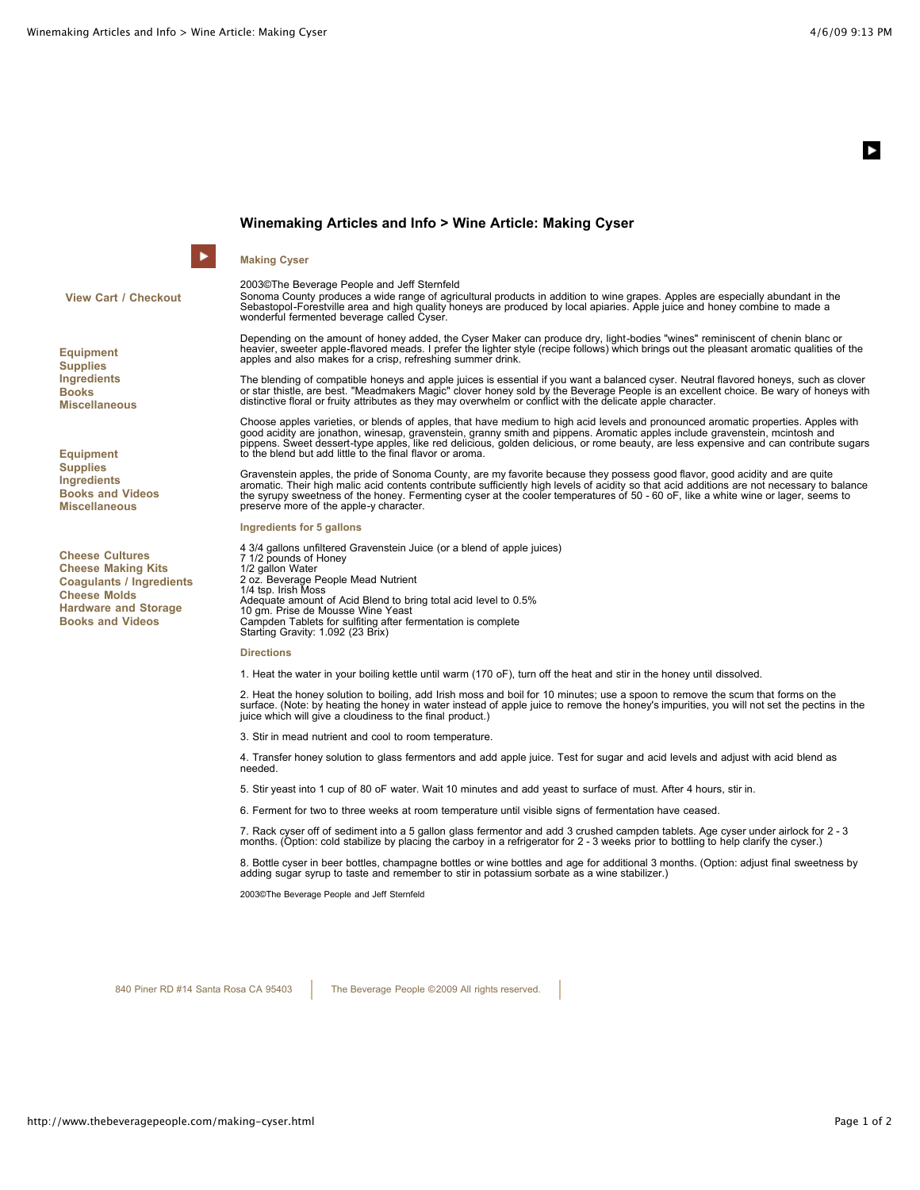## **Winemaking Articles and Info > Wine Article: Making Cyser**

# **Making Cyser**

ы

**View Cart / Checkout**

**Equipment Supplies Ingredients Books Miscellaneous**

**Equipment Supplies Ingredients Books and Videos Miscellaneous**

**Cheese Cultures Cheese Making Kits Coagulants / Ingredients Cheese Molds Hardware and Storage Books and Videos**

2003©The Beverage People and Jeff Sternfeld

Sonoma County produces a wide range of agricultural products in addition to wine grapes. Apples are especially abundant in the Sebastopol-Forestville area and high quality honeys are produced by local apiaries. Apple juice and honey combine to made a wonderful fermented beverage called Cyser.

Depending on the amount of honey added, the Cyser Maker can produce dry, light-bodies "wines" reminiscent of chenin blanc or heavier, sweeter apple-flavored meads. I prefer the lighter style (recipe follows) which brings out the pleasant aromatic qualities of the apples and also makes for a crisp, refreshing summer drink.

The blending of compatible honeys and apple juices is essential if you want a balanced cyser. Neutral flavored honeys, such as clover or star thistle, are best. "Meadmakers Magic" clover honey sold by the Beverage People is an excellent choice. Be wary of honeys with<br>distinctive floral or fruity attributes as they may overwhelm or conflict with the delic

Choose apples varieties, or blends of apples, that have medium to high acid levels and pronounced aromatic properties. Apples with<br>good acidity are jonathon, winesap, gravenstein, granny smith and pippens. Aromatic apples

Gravenstein apples, the pride of Sonoma County, are my favorite because they possess good flavor, good acidity and are quite aromatic. Their high malic acid contents contribute sufficiently high levels of acidity so that acid additions are not necessary to balance<br>the syrupy sweetness of the honey. Fermenting cyser at the cooler temperatures of preserve more of the apple-y character.

### **Ingredients for 5 gallons**

4 3/4 gallons unfiltered Gravenstein Juice (or a blend of apple juices) 7 1/2 pounds of Honey 1/2 gallon Water 2 oz. Beverage People Mead Nutrient<br>1/4 tsp. Irish Moss<br>Adequate amount of Acid Blend to bring total acid level to 0.5% 10 gm. Prise de Mousse Wine Yeast Campden Tablets for sulfiting after fermentation is complete Starting Gravity: 1.092 (23 Brix)

### **Directions**

1. Heat the water in your boiling kettle until warm (170 oF), turn off the heat and stir in the honey until dissolved.

2. Heat the honey solution to boiling, add Irish moss and boil for 10 minutes; use a spoon to remove the scum that forms on the surface. (Note: by heating the honey in water instead of apple juice to remove the honey's impurities, you will not set the pectins in the juice which will give a cloudiness to the final product.)

3. Stir in mead nutrient and cool to room temperature.

4. Transfer honey solution to glass fermentors and add apple juice. Test for sugar and acid levels and adjust with acid blend as needed.

5. Stir yeast into 1 cup of 80 oF water. Wait 10 minutes and add yeast to surface of must. After 4 hours, stir in.

6. Ferment for two to three weeks at room temperature until visible signs of fermentation have ceased.

7. Rack cyser off of sediment into a 5 gallon glass fermentor and add 3 crushed campden tablets. Age cyser under airlock for 2 - 3<br>months. (Option: cold stabilize by placing the carboy in a refrigerator for 2 - 3 weeks pri

8. Bottle cyser in beer bottles, champagne bottles or wine bottles and age for additional 3 months. (Option: adjust final sweetness by<br>adding sugar syrup to taste and remember to stir in potassium sorbate as a wine stabili

2003©The Beverage People and Jeff Sternfeld

840 Piner RD #14 Santa Rosa CA 95403 The Beverage People ©2009 All rights reserved